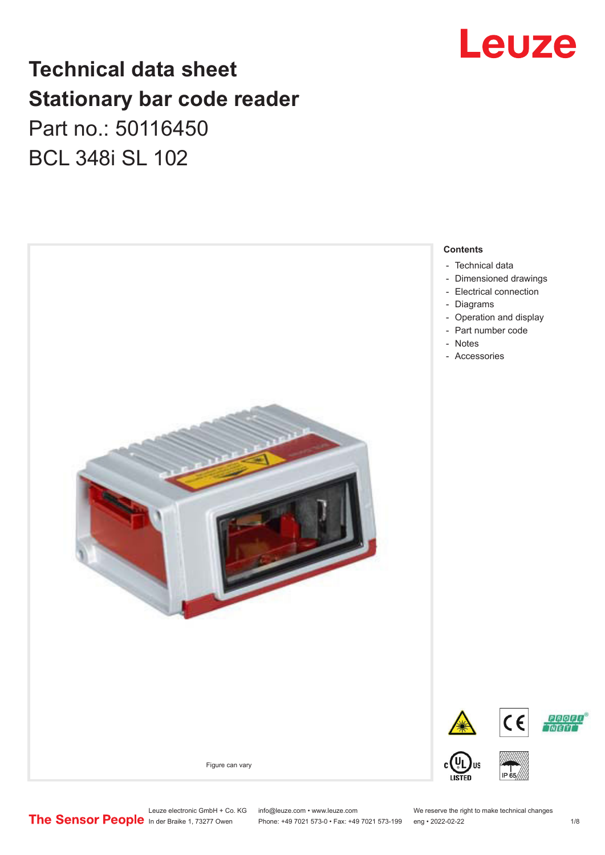

# **Technical data sheet Stationary bar code reader** Part no.: 50116450 BCL 348i SL 102



Leuze electronic GmbH + Co. KG info@leuze.com • www.leuze.com We reserve the right to make technical changes<br>
The Sensor People in der Braike 1, 73277 Owen Phone: +49 7021 573-0 • Fax: +49 7021 573-199 eng • 2022-02-22 Phone: +49 7021 573-0 • Fax: +49 7021 573-199 eng • 2022-02-22 1 /8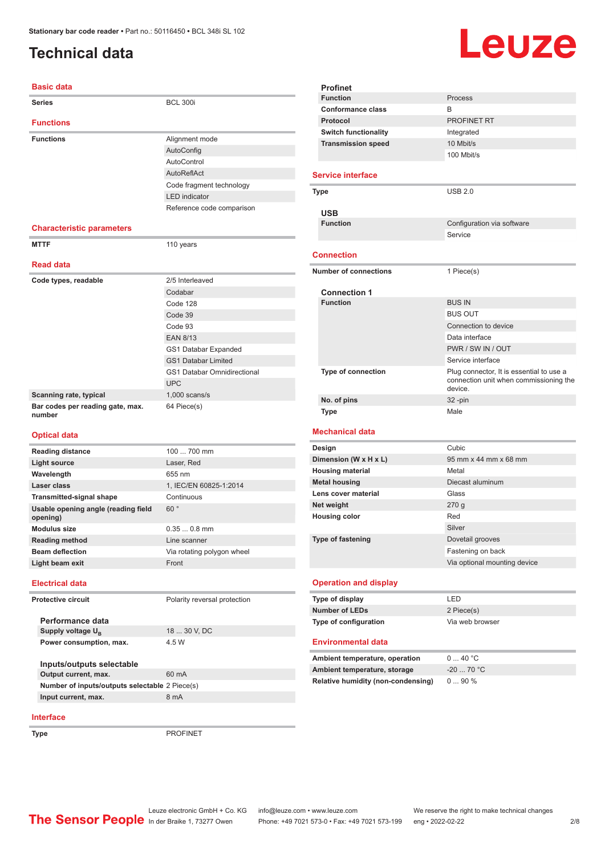# <span id="page-1-0"></span>**Technical data**

# Leuze

| <b>Basic data</b>                          |                                    |
|--------------------------------------------|------------------------------------|
| <b>Series</b>                              | <b>BCL 300i</b>                    |
|                                            |                                    |
| <b>Functions</b>                           |                                    |
| <b>Functions</b>                           | Alignment mode                     |
|                                            | AutoConfig                         |
|                                            | AutoControl                        |
|                                            | AutoReflAct                        |
|                                            | Code fragment technology           |
|                                            | <b>LED</b> indicator               |
|                                            | Reference code comparison          |
| <b>Characteristic parameters</b>           |                                    |
| <b>MTTF</b>                                | 110 years                          |
|                                            |                                    |
| <b>Read data</b>                           |                                    |
| Code types, readable                       | 2/5 Interleaved                    |
|                                            | Codabar                            |
|                                            | Code 128                           |
|                                            | Code 39                            |
|                                            | Code 93                            |
|                                            | <b>EAN 8/13</b>                    |
|                                            | GS1 Databar Expanded               |
|                                            | <b>GS1 Databar Limited</b>         |
|                                            | <b>GS1 Databar Omnidirectional</b> |
|                                            | <b>UPC</b>                         |
| Scanning rate, typical                     | $1,000$ scans/s                    |
| Bar codes per reading gate, max.<br>number | 64 Piece(s)                        |
| <b>Optical data</b>                        |                                    |
| <b>Reading distance</b>                    | 100<br>700 mm                      |

| <b>Reading distance</b>                         | 100  700 mm                  |  |
|-------------------------------------------------|------------------------------|--|
| Light source                                    | Laser, Red                   |  |
| Wavelength                                      | 655 nm                       |  |
| Laser class                                     | 1, IEC/EN 60825-1:2014       |  |
| <b>Transmitted-signal shape</b>                 | Continuous                   |  |
| Usable opening angle (reading field<br>opening) | 60°                          |  |
| Modulus size                                    | $0.350.8$ mm                 |  |
| <b>Reading method</b>                           | Line scanner                 |  |
| <b>Beam deflection</b>                          | Via rotating polygon wheel   |  |
| Light beam exit                                 | Front                        |  |
| <b>Electrical data</b>                          |                              |  |
| <b>Protective circuit</b>                       | Polarity reversal protection |  |
| Performance data                                |                              |  |
| Supply voltage $U_{\rm B}$                      | 18  30 V, DC                 |  |
| Power consumption, max.                         | 4.5 W                        |  |

#### **Inputs/outputs selectable Output current, max.** 60 mA **Number of inputs/outputs selectable** 2 Piece(s) **Input current, max.** 8 mA

### **Interface**

**Type** PROFINET

|                   | <b>Profinet</b>                        |                                                                                               |  |
|-------------------|----------------------------------------|-----------------------------------------------------------------------------------------------|--|
|                   | <b>Function</b>                        | Process                                                                                       |  |
|                   | Conformance class                      | R                                                                                             |  |
|                   | Protocol                               | PROFINET RT                                                                                   |  |
|                   | <b>Switch functionality</b>            | Integrated                                                                                    |  |
|                   | <b>Transmission speed</b>              | 10 Mbit/s                                                                                     |  |
|                   |                                        | 100 Mbit/s                                                                                    |  |
|                   | <b>Service interface</b>               |                                                                                               |  |
| <b>Type</b>       |                                        | <b>USB 2.0</b>                                                                                |  |
|                   | <b>USB</b>                             |                                                                                               |  |
|                   | <b>Function</b>                        | Configuration via software                                                                    |  |
|                   |                                        | Service                                                                                       |  |
| <b>Connection</b> |                                        |                                                                                               |  |
|                   |                                        |                                                                                               |  |
|                   | Number of connections                  | 1 Piece(s)                                                                                    |  |
|                   |                                        |                                                                                               |  |
|                   | <b>Connection 1</b><br><b>Function</b> | <b>BUS IN</b>                                                                                 |  |
|                   |                                        | <b>BUS OUT</b>                                                                                |  |
|                   |                                        | Connection to device                                                                          |  |
|                   |                                        | Data interface                                                                                |  |
|                   |                                        | PWR / SW IN / OUT                                                                             |  |
|                   |                                        | Service interface                                                                             |  |
|                   | Type of connection                     | Plug connector, It is essential to use a<br>connection unit when commissioning the<br>device. |  |
|                   | No. of pins                            | 32-pin                                                                                        |  |

#### **Mechanical data**

| Design                   | Cubic                        |
|--------------------------|------------------------------|
| Dimension (W x H x L)    | 95 mm x 44 mm x 68 mm        |
| <b>Housing material</b>  | Metal                        |
| <b>Metal housing</b>     | Diecast aluminum             |
| Lens cover material      | Glass                        |
| Net weight               | 270q                         |
| <b>Housing color</b>     | Red                          |
|                          | Silver                       |
| <b>Type of fastening</b> | Dovetail grooves             |
|                          | Fastening on back            |
|                          | Via optional mounting device |

#### **Operation and display**

| Type of display       | I FD.           |
|-----------------------|-----------------|
| Number of LEDs        | 2 Piece(s)      |
| Type of configuration | Via web browser |

#### **Environmental data**

| Ambient temperature, operation     | $0 \dots 40$ °C |
|------------------------------------|-----------------|
| Ambient temperature, storage       | $-20$ 70 °C     |
| Relative humidity (non-condensing) | $090\%$         |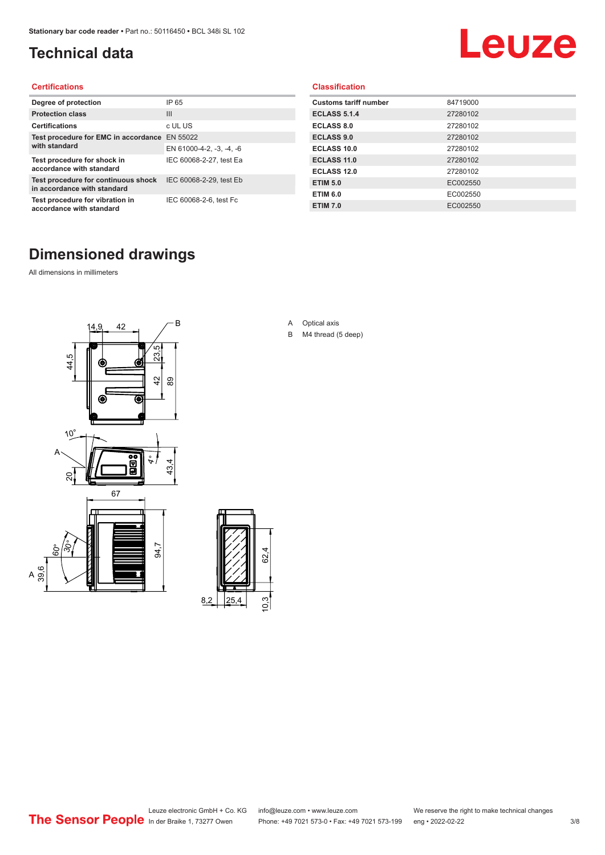# <span id="page-2-0"></span>**Technical data**

# Leuze

#### **Certifications**

| Degree of protection                                               | IP 65                    |
|--------------------------------------------------------------------|--------------------------|
| <b>Protection class</b>                                            | Ш                        |
| <b>Certifications</b>                                              | c UL US                  |
| Test procedure for EMC in accordance EN 55022                      |                          |
| with standard                                                      | EN 61000-4-2, -3, -4, -6 |
| Test procedure for shock in<br>accordance with standard            | IEC 60068-2-27, test Ea  |
| Test procedure for continuous shock<br>in accordance with standard | IEC 60068-2-29, test Eb  |
| Test procedure for vibration in<br>accordance with standard        | IEC 60068-2-6, test Fc   |

### **Classification**

| <b>Customs tariff number</b> | 84719000 |
|------------------------------|----------|
| <b>ECLASS 5.1.4</b>          | 27280102 |
| <b>ECLASS 8.0</b>            | 27280102 |
| <b>ECLASS 9.0</b>            | 27280102 |
| ECLASS 10.0                  | 27280102 |
| <b>ECLASS 11.0</b>           | 27280102 |
| ECLASS 12.0                  | 27280102 |
| <b>ETIM 5.0</b>              | EC002550 |
| <b>ETIM 6.0</b>              | EC002550 |
| <b>ETIM 7.0</b>              | EC002550 |

# **Dimensioned drawings**

All dimensions in millimeters

 $\overline{A}$ 





- A Optical axis
- B M4 thread (5 deep)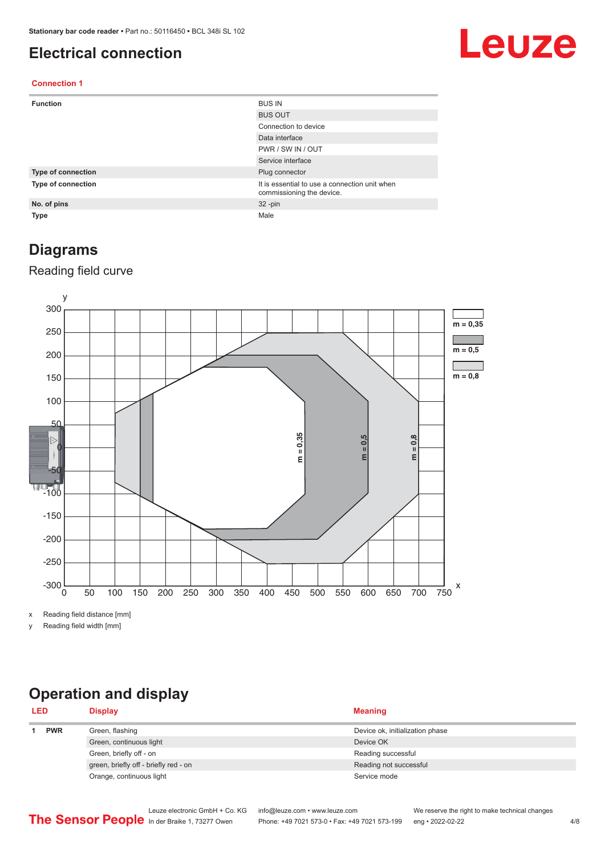## <span id="page-3-0"></span>**Electrical connection**

# Leuze

#### **Connection 1**

| <b>Function</b>    | <b>BUS IN</b>                                                              |
|--------------------|----------------------------------------------------------------------------|
|                    | <b>BUS OUT</b>                                                             |
|                    | Connection to device                                                       |
|                    | Data interface                                                             |
|                    | PWR / SW IN / OUT                                                          |
|                    | Service interface                                                          |
| Type of connection | Plug connector                                                             |
| Type of connection | It is essential to use a connection unit when<br>commissioning the device. |
| No. of pins        | $32 - pin$                                                                 |
| <b>Type</b>        | Male                                                                       |

### **Diagrams**

### Reading field curve



x Reading field distance [mm]

y Reading field width [mm]

## **Operation and display**

| <b>LED</b> |            | <b>Display</b>                        | <b>Meaning</b>                  |
|------------|------------|---------------------------------------|---------------------------------|
|            | <b>PWR</b> | Green, flashing                       | Device ok, initialization phase |
|            |            | Green, continuous light               | Device OK                       |
|            |            | Green, briefly off - on               | Reading successful              |
|            |            | green, briefly off - briefly red - on | Reading not successful          |
|            |            | Orange, continuous light              | Service mode                    |
|            |            |                                       |                                 |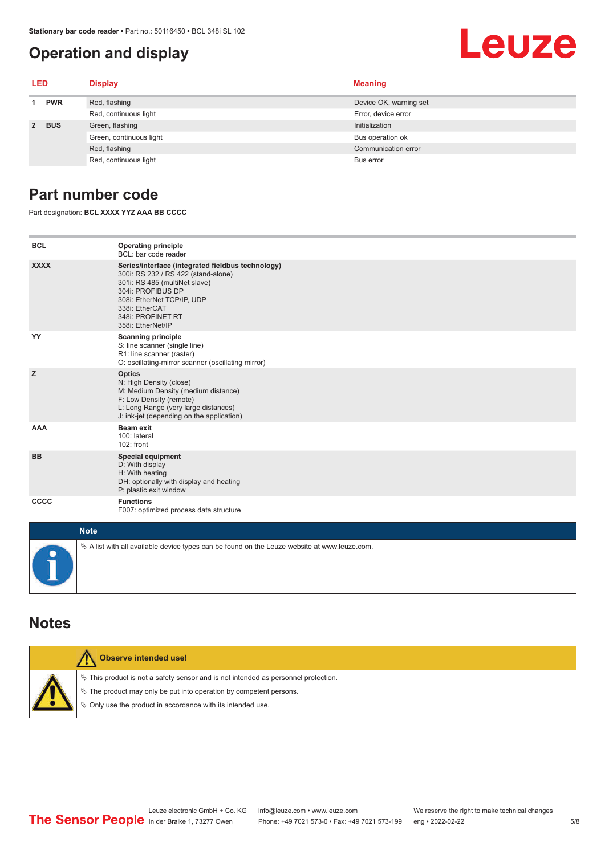## <span id="page-4-0"></span>**Operation and display**

# Leuze

| <b>LED</b> |            | <b>Display</b>          | <b>Meaning</b>         |
|------------|------------|-------------------------|------------------------|
|            | <b>PWR</b> | Red, flashing           | Device OK, warning set |
|            |            | Red, continuous light   | Error, device error    |
|            | 2 BUS      | Green, flashing         | Initialization         |
|            |            | Green, continuous light | Bus operation ok       |
|            |            | Red, flashing           | Communication error    |
|            |            | Red, continuous light   | Bus error              |

## **Part number code**

Part designation: **BCL XXXX YYZ AAA BB CCCC**

| <b>BCL</b>       | <b>Operating principle</b><br>BCL: bar code reader                                                                                                                                                                                       |
|------------------|------------------------------------------------------------------------------------------------------------------------------------------------------------------------------------------------------------------------------------------|
| <b>XXXX</b>      | Series/interface (integrated fieldbus technology)<br>300i: RS 232 / RS 422 (stand-alone)<br>301i: RS 485 (multiNet slave)<br>304i: PROFIBUS DP<br>308i: EtherNet TCP/IP, UDP<br>338i: EtherCAT<br>348i: PROFINET RT<br>358i: EtherNet/IP |
| YY               | <b>Scanning principle</b><br>S: line scanner (single line)<br>R1: line scanner (raster)<br>O: oscillating-mirror scanner (oscillating mirror)                                                                                            |
| z                | <b>Optics</b><br>N: High Density (close)<br>M: Medium Density (medium distance)<br>F: Low Density (remote)<br>L: Long Range (very large distances)<br>J: ink-jet (depending on the application)                                          |
| <b>AAA</b>       | <b>Beam exit</b><br>100: lateral<br>102: front                                                                                                                                                                                           |
| <b>BB</b>        | <b>Special equipment</b><br>D: With display<br>H: With heating<br>DH: optionally with display and heating<br>P: plastic exit window                                                                                                      |
| CCCC             | <b>Functions</b><br>F007: optimized process data structure                                                                                                                                                                               |
| <b>SALE OF A</b> |                                                                                                                                                                                                                                          |

| <b>Note</b>                                                                                       |
|---------------------------------------------------------------------------------------------------|
| $\phi$ A list with all available device types can be found on the Leuze website at www.leuze.com. |

### **Notes**

| Observe intended use!                                                                                                                                                                                                      |
|----------------------------------------------------------------------------------------------------------------------------------------------------------------------------------------------------------------------------|
| $\%$ This product is not a safety sensor and is not intended as personnel protection.<br>↓ The product may only be put into operation by competent persons.<br>♦ Only use the product in accordance with its intended use. |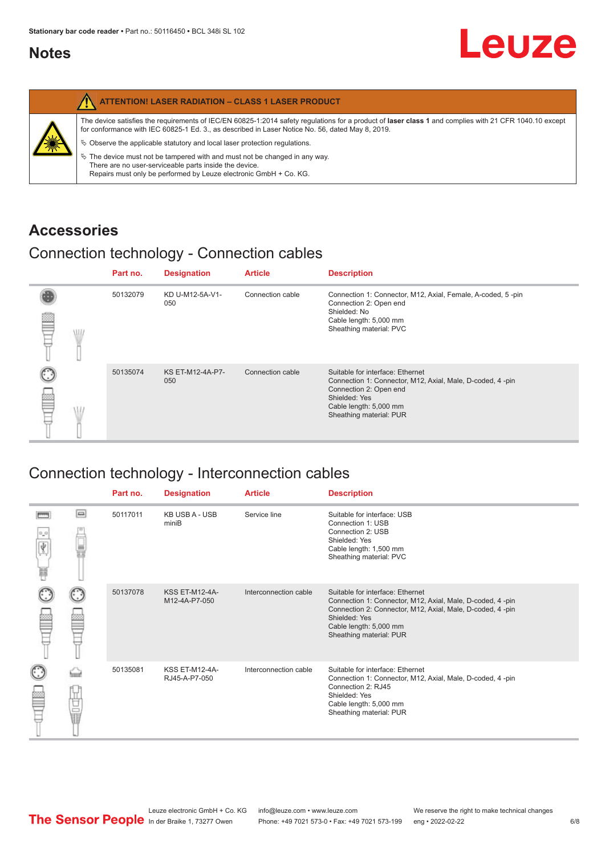## <span id="page-5-0"></span>**Notes**

|   | <b>ATTENTION! LASER RADIATION - CLASS 1 LASER PRODUCT</b>                                                                                                                                                                                                                                                                                                                                                                     |
|---|-------------------------------------------------------------------------------------------------------------------------------------------------------------------------------------------------------------------------------------------------------------------------------------------------------------------------------------------------------------------------------------------------------------------------------|
| 纂 | The device satisfies the requirements of IEC/EN 60825-1:2014 safety requlations for a product of laser class 1 and complies with 21 CFR 1040.10 except<br>for conformance with IEC 60825-1 Ed. 3., as described in Laser Notice No. 56, dated May 8, 2019.<br>$\&$ Observe the applicable statutory and local laser protection requisitions.<br>$\%$ The device must not be tampered with and must not be changed in any way. |
|   | There are no user-serviceable parts inside the device.<br>Repairs must only be performed by Leuze electronic GmbH + Co. KG.                                                                                                                                                                                                                                                                                                   |

## **Accessories**

## Connection technology - Connection cables

|      | Part no. | <b>Designation</b>      | <b>Article</b>   | <b>Description</b>                                                                                                                                                                            |
|------|----------|-------------------------|------------------|-----------------------------------------------------------------------------------------------------------------------------------------------------------------------------------------------|
| \ll. | 50132079 | KD U-M12-5A-V1-<br>050  | Connection cable | Connection 1: Connector, M12, Axial, Female, A-coded, 5-pin<br>Connection 2: Open end<br>Shielded: No<br>Cable length: 5,000 mm<br>Sheathing material: PVC                                    |
|      | 50135074 | KS ET-M12-4A-P7-<br>050 | Connection cable | Suitable for interface: Ethernet<br>Connection 1: Connector, M12, Axial, Male, D-coded, 4-pin<br>Connection 2: Open end<br>Shielded: Yes<br>Cable length: 5,000 mm<br>Sheathing material: PUR |

# Connection technology - Interconnection cables

|                           |                                                                                                                                                                                                                                | Part no. | <b>Designation</b>                     | <b>Article</b>        | <b>Description</b>                                                                                                                                                                                                               |
|---------------------------|--------------------------------------------------------------------------------------------------------------------------------------------------------------------------------------------------------------------------------|----------|----------------------------------------|-----------------------|----------------------------------------------------------------------------------------------------------------------------------------------------------------------------------------------------------------------------------|
| $\frac{1}{\sqrt{2}}$<br>Ħ | $\Box$                                                                                                                                                                                                                         | 50117011 | <b>KB USB A - USB</b><br>miniB         | Service line          | Suitable for interface: USB<br>Connection 1: USB<br>Connection 2: USB<br>Shielded: Yes<br>Cable length: 1,500 mm<br>Sheathing material: PVC                                                                                      |
|                           |                                                                                                                                                                                                                                | 50137078 | <b>KSS ET-M12-4A-</b><br>M12-4A-P7-050 | Interconnection cable | Suitable for interface: Ethernet<br>Connection 1: Connector, M12, Axial, Male, D-coded, 4-pin<br>Connection 2: Connector, M12, Axial, Male, D-coded, 4-pin<br>Shielded: Yes<br>Cable length: 5,000 mm<br>Sheathing material: PUR |
|                           | the filled the control in the control in the control in the control in the control in the control in the control in the control in the control in the control in the control in the control in the control in the control in t | 50135081 | <b>KSS ET-M12-4A-</b><br>RJ45-A-P7-050 | Interconnection cable | Suitable for interface: Ethernet<br>Connection 1: Connector, M12, Axial, Male, D-coded, 4-pin<br>Connection 2: RJ45<br>Shielded: Yes<br>Cable length: 5,000 mm<br>Sheathing material: PUR                                        |

Leuze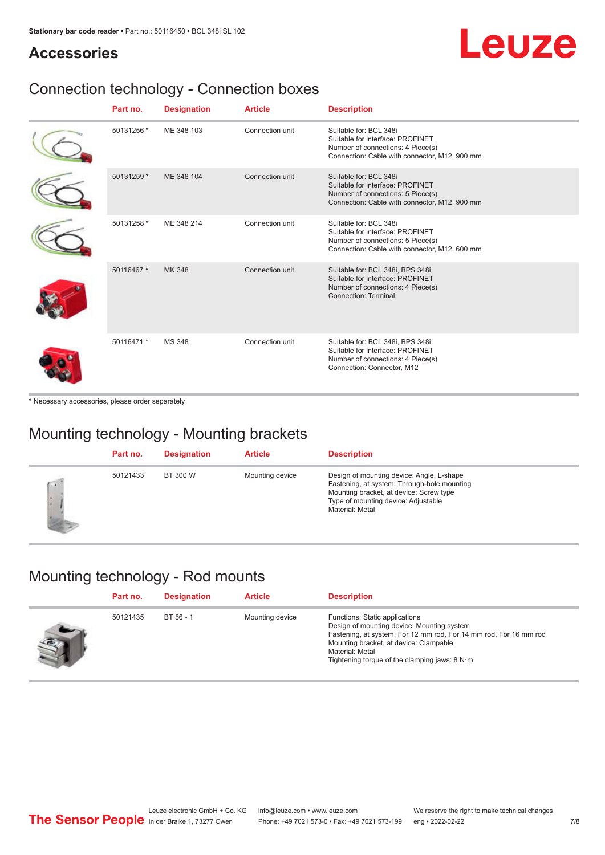# Leuze

# **Accessories**

# Connection technology - Connection boxes

| Part no.   | <b>Designation</b> | <b>Article</b>  | <b>Description</b>                                                                                                                               |
|------------|--------------------|-----------------|--------------------------------------------------------------------------------------------------------------------------------------------------|
| 50131256 * | ME 348 103         | Connection unit | Suitable for: BCL 348i<br>Suitable for interface: PROFINET<br>Number of connections: 4 Piece(s)<br>Connection: Cable with connector, M12, 900 mm |
| 50131259 * | ME 348 104         | Connection unit | Suitable for: BCL 348i<br>Suitable for interface: PROFINET<br>Number of connections: 5 Piece(s)<br>Connection: Cable with connector, M12, 900 mm |
| 50131258 * | ME 348 214         | Connection unit | Suitable for: BCL 348i<br>Suitable for interface: PROFINET<br>Number of connections: 5 Piece(s)<br>Connection: Cable with connector, M12, 600 mm |
| 50116467 * | MK 348             | Connection unit | Suitable for: BCL 348i, BPS 348i<br>Suitable for interface: PROFINET<br>Number of connections: 4 Piece(s)<br>Connection: Terminal                |
| 50116471 * | <b>MS 348</b>      | Connection unit | Suitable for: BCL 348i, BPS 348i<br>Suitable for interface: PROFINET<br>Number of connections: 4 Piece(s)<br>Connection: Connector, M12          |

\* Necessary accessories, please order separately

## Mounting technology - Mounting brackets

|              | Part no. | <b>Designation</b> | <b>Article</b>  | <b>Description</b>                                                                                                                                                                            |
|--------------|----------|--------------------|-----------------|-----------------------------------------------------------------------------------------------------------------------------------------------------------------------------------------------|
| $\sim$<br>ı. | 50121433 | BT 300 W           | Mounting device | Design of mounting device: Angle, L-shape<br>Fastening, at system: Through-hole mounting<br>Mounting bracket, at device: Screw type<br>Type of mounting device: Adjustable<br>Material: Metal |

## Mounting technology - Rod mounts

| Part no. | <b>Designation</b> | <b>Article</b>  | <b>Description</b>                                                                                                                                                                                                                                                |
|----------|--------------------|-----------------|-------------------------------------------------------------------------------------------------------------------------------------------------------------------------------------------------------------------------------------------------------------------|
| 50121435 | BT 56 - 1          | Mounting device | Functions: Static applications<br>Design of mounting device: Mounting system<br>Fastening, at system: For 12 mm rod, For 14 mm rod, For 16 mm rod<br>Mounting bracket, at device: Clampable<br>Material: Metal<br>Tightening torque of the clamping jaws: $8 N·m$ |